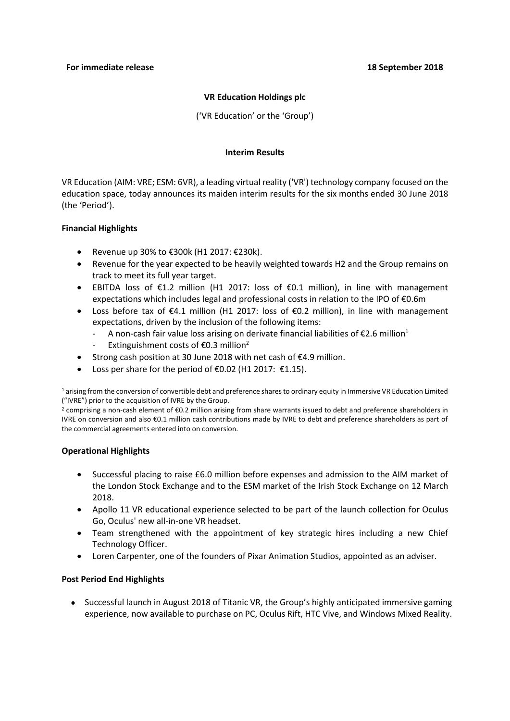## **VR Education Holdings plc**

('VR Education' or the 'Group')

## **Interim Results**

VR Education (AIM: VRE; ESM: 6VR), a leading virtual reality ('VR') technology company focused on the education space, today announces its maiden interim results for the six months ended 30 June 2018 (the 'Period').

## **Financial Highlights**

- Revenue up 30% to €300k (H1 2017: €230k).
- Revenue for the year expected to be heavily weighted towards H2 and the Group remains on track to meet its full year target.
- EBITDA loss of €1.2 million (H1 2017: loss of €0.1 million), in line with management expectations which includes legal and professional costs in relation to the IPO of €0.6m
- Loss before tax of €4.1 million (H1 2017: loss of €0.2 million), in line with management expectations, driven by the inclusion of the following items:
	- A non-cash fair value loss arising on derivate financial liabilities of  $E2.6$  million<sup>1</sup>
	- Extinguishment costs of  $\epsilon$ 0.3 million<sup>2</sup>
- Strong cash position at 30 June 2018 with net cash of €4.9 million.
- Loss per share for the period of  $€0.02$  (H1 2017:  $€1.15$ ).

<sup>1</sup> arising from the conversion of convertible debt and preference shares to ordinary equity in Immersive VR Education Limited ("IVRE") prior to the acquisition of IVRE by the Group.

<sup>2</sup> comprising a non-cash element of €0.2 million arising from share warrants issued to debt and preference shareholders in IVRE on conversion and also €0.1 million cash contributions made by IVRE to debt and preference shareholders as part of the commercial agreements entered into on conversion.

## **Operational Highlights**

- Successful placing to raise £6.0 million before expenses and admission to the AIM market of the London Stock Exchange and to the ESM market of the Irish Stock Exchange on 12 March 2018.
- Apollo 11 VR educational experience selected to be part of the launch collection for Oculus Go, Oculus' new all-in-one VR headset.
- Team strengthened with the appointment of key strategic hires including a new Chief Technology Officer.
- Loren Carpenter, one of the founders of Pixar Animation Studios, appointed as an adviser.

## **Post Period End Highlights**

• Successful launch in August 2018 of Titanic VR, the Group's highly anticipated immersive gaming experience, now available to purchase on PC, Oculus Rift, HTC Vive, and Windows Mixed Reality.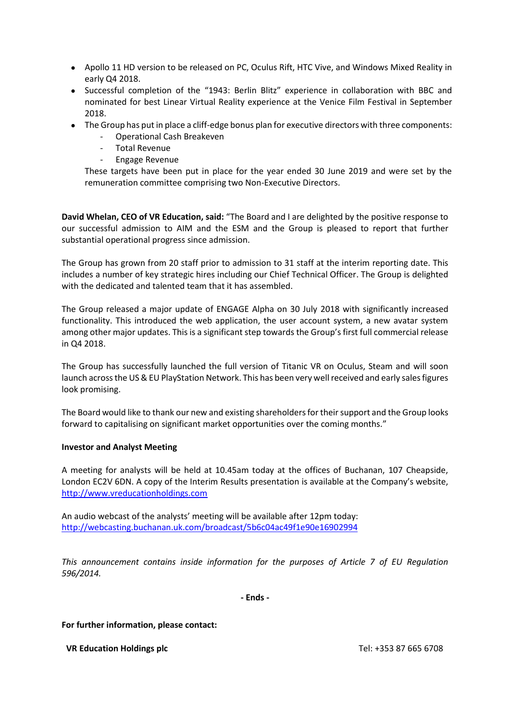- Apollo 11 HD version to be released on PC, Oculus Rift, HTC Vive, and Windows Mixed Reality in early Q4 2018.
- Successful completion of the "1943: Berlin Blitz" experience in collaboration with BBC and nominated for best Linear Virtual Reality experience at the Venice Film Festival in September 2018.
- The Group has put in place a cliff-edge bonus plan for executive directors with three components:
	- Operational Cash Breakeven
	- Total Revenue
	- Engage Revenue

These targets have been put in place for the year ended 30 June 2019 and were set by the remuneration committee comprising two Non-Executive Directors.

**David Whelan, CEO of VR Education, said:** "The Board and I are delighted by the positive response to our successful admission to AIM and the ESM and the Group is pleased to report that further substantial operational progress since admission.

The Group has grown from 20 staff prior to admission to 31 staff at the interim reporting date. This includes a number of key strategic hires including our Chief Technical Officer. The Group is delighted with the dedicated and talented team that it has assembled.

The Group released a major update of ENGAGE Alpha on 30 July 2018 with significantly increased functionality. This introduced the web application, the user account system, a new avatar system among other major updates. This is a significant step towards the Group's first full commercial release in Q4 2018.

The Group has successfully launched the full version of Titanic VR on Oculus, Steam and will soon launch across the US & EU PlayStation Network. This has been very well received and early sales figures look promising.

The Board would like to thank our new and existing shareholders for their support and the Group looks forward to capitalising on significant market opportunities over the coming months."

## **Investor and Analyst Meeting**

A meeting for analysts will be held at 10.45am today at the offices of Buchanan, 107 Cheapside, London EC2V 6DN. A copy of the Interim Results presentation is available at the Company's website, [http://www.vreducationholdings.com](http://www.vreducationholdings.com/)

An audio webcast of the analysts' meeting will be available after 12pm today: <http://webcasting.buchanan.uk.com/broadcast/5b6c04ac49f1e90e16902994>

*This announcement contains inside information for the purposes of Article 7 of EU Regulation 596/2014.*

**- Ends -**

## **For further information, please contact:**

**VR Education Holdings plc** Tel: +353 87 665 6708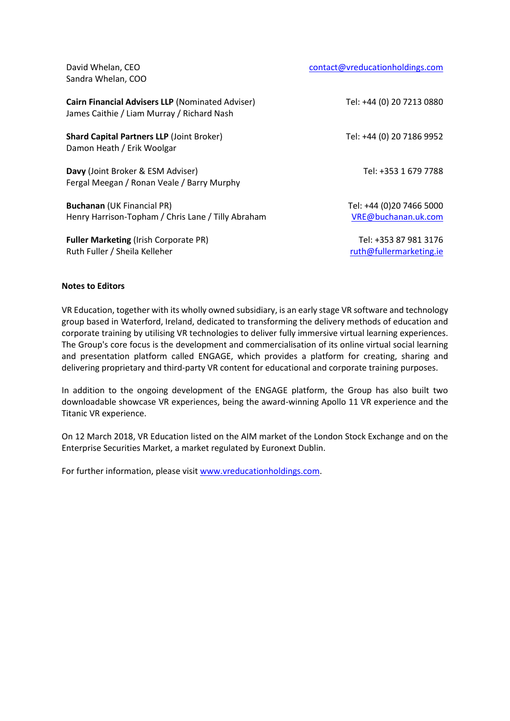David Whelan, CEO Sandra Whelan, COO

| Cairn Financial Advisers LLP (Nominated Adviser)<br>James Caithie / Liam Murray / Richard Nash | Tel: +44 (0) 20 7213 0880                        |
|------------------------------------------------------------------------------------------------|--------------------------------------------------|
| <b>Shard Capital Partners LLP (Joint Broker)</b><br>Damon Heath / Erik Woolgar                 | Tel: +44 (0) 20 7186 9952                        |
| Davy (Joint Broker & ESM Adviser)<br>Fergal Meegan / Ronan Veale / Barry Murphy                | Tel: +353 1 679 7788                             |
| <b>Buchanan</b> (UK Financial PR)<br>Henry Harrison-Topham / Chris Lane / Tilly Abraham        | Tel: +44 (0)20 7466 5000<br>VRE@buchanan.uk.com  |
| <b>Fuller Marketing (Irish Corporate PR)</b><br>Ruth Fuller / Sheila Kelleher                  | Tel: +353 87 981 3176<br>ruth@fullermarketing.ie |

#### **Notes to Editors**

VR Education, together with its wholly owned subsidiary, is an early stage VR software and technology group based in Waterford, Ireland, dedicated to transforming the delivery methods of education and corporate training by utilising VR technologies to deliver fully immersive virtual learning experiences. The Group's core focus is the development and commercialisation of its online virtual social learning and presentation platform called ENGAGE, which provides a platform for creating, sharing and delivering proprietary and third-party VR content for educational and corporate training purposes.

In addition to the ongoing development of the ENGAGE platform, the Group has also built two downloadable showcase VR experiences, being the award-winning Apollo 11 VR experience and the Titanic VR experience.

On 12 March 2018, VR Education listed on the AIM market of the London Stock Exchange and on the Enterprise Securities Market, a market regulated by Euronext Dublin.

For further information, please visi[t www.vreducationholdings.com.](http://www.vreducationholdings.com/)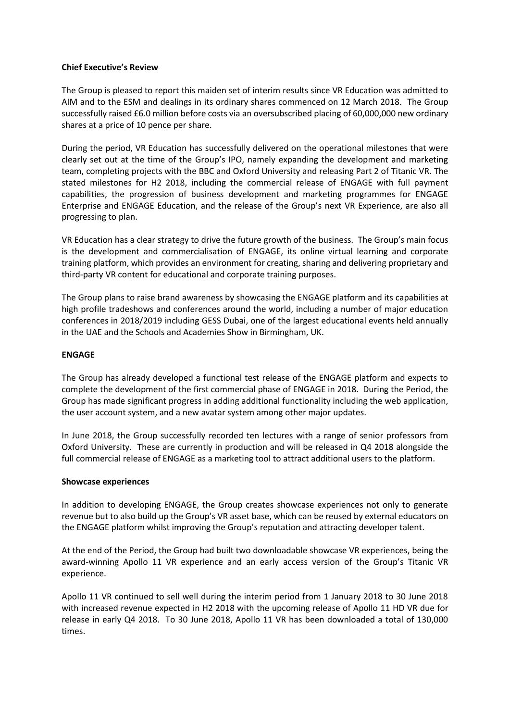## **Chief Executive's Review**

The Group is pleased to report this maiden set of interim results since VR Education was admitted to AIM and to the ESM and dealings in its ordinary shares commenced on 12 March 2018. The Group successfully raised £6.0 million before costs via an oversubscribed placing of 60,000,000 new ordinary shares at a price of 10 pence per share.

During the period, VR Education has successfully delivered on the operational milestones that were clearly set out at the time of the Group's IPO, namely expanding the development and marketing team, completing projects with the BBC and Oxford University and releasing Part 2 of Titanic VR. The stated milestones for H2 2018, including the commercial release of ENGAGE with full payment capabilities, the progression of business development and marketing programmes for ENGAGE Enterprise and ENGAGE Education, and the release of the Group's next VR Experience, are also all progressing to plan.

VR Education has a clear strategy to drive the future growth of the business. The Group's main focus is the development and commercialisation of ENGAGE, its online virtual learning and corporate training platform, which provides an environment for creating, sharing and delivering proprietary and third-party VR content for educational and corporate training purposes.

The Group plans to raise brand awareness by showcasing the ENGAGE platform and its capabilities at high profile tradeshows and conferences around the world, including a number of major education conferences in 2018/2019 including GESS Dubai, one of the largest educational events held annually in the UAE and the Schools and Academies Show in Birmingham, UK.

## **ENGAGE**

The Group has already developed a functional test release of the ENGAGE platform and expects to complete the development of the first commercial phase of ENGAGE in 2018. During the Period, the Group has made significant progress in adding additional functionality including the web application, the user account system, and a new avatar system among other major updates.

In June 2018, the Group successfully recorded ten lectures with a range of senior professors from Oxford University. These are currently in production and will be released in Q4 2018 alongside the full commercial release of ENGAGE as a marketing tool to attract additional users to the platform.

#### **Showcase experiences**

In addition to developing ENGAGE, the Group creates showcase experiences not only to generate revenue but to also build up the Group's VR asset base, which can be reused by external educators on the ENGAGE platform whilst improving the Group's reputation and attracting developer talent.

At the end of the Period, the Group had built two downloadable showcase VR experiences, being the award-winning Apollo 11 VR experience and an early access version of the Group's Titanic VR experience.

Apollo 11 VR continued to sell well during the interim period from 1 January 2018 to 30 June 2018 with increased revenue expected in H2 2018 with the upcoming release of Apollo 11 HD VR due for release in early Q4 2018. To 30 June 2018, Apollo 11 VR has been downloaded a total of 130,000 times.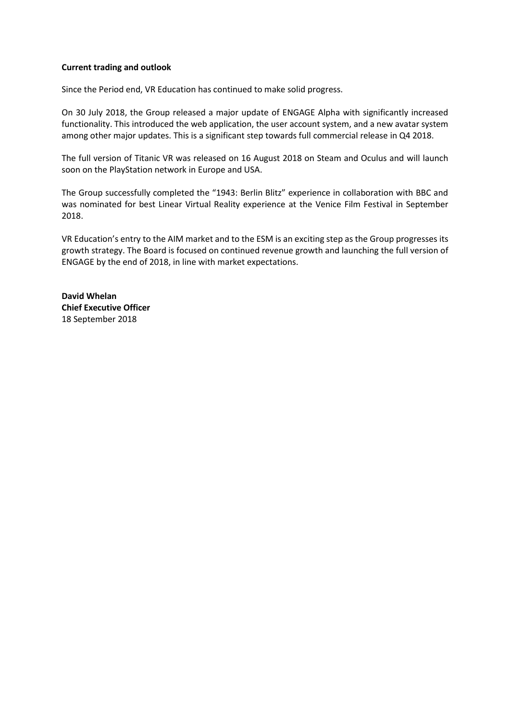## **Current trading and outlook**

Since the Period end, VR Education has continued to make solid progress.

On 30 July 2018, the Group released a major update of ENGAGE Alpha with significantly increased functionality. This introduced the web application, the user account system, and a new avatar system among other major updates. This is a significant step towards full commercial release in Q4 2018.

The full version of Titanic VR was released on 16 August 2018 on Steam and Oculus and will launch soon on the PlayStation network in Europe and USA.

The Group successfully completed the "1943: Berlin Blitz" experience in collaboration with BBC and was nominated for best Linear Virtual Reality experience at the Venice Film Festival in September 2018.

VR Education's entry to the AIM market and to the ESM is an exciting step as the Group progresses its growth strategy. The Board is focused on continued revenue growth and launching the full version of ENGAGE by the end of 2018, in line with market expectations.

**David Whelan Chief Executive Officer** 18 September 2018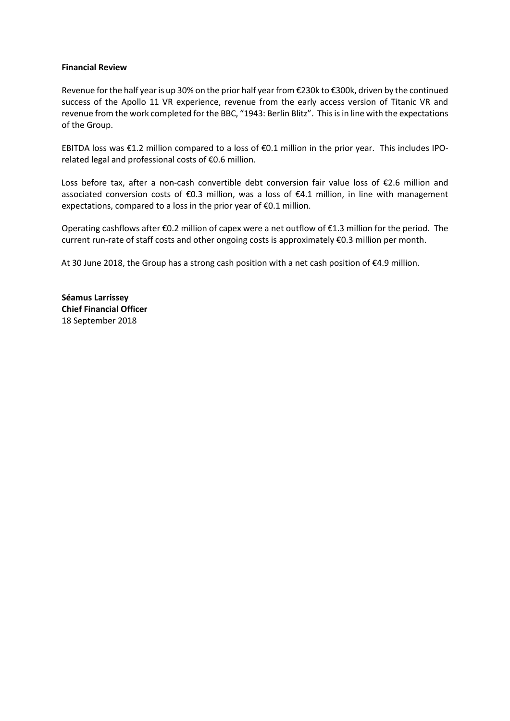## **Financial Review**

Revenue for the half year is up 30% on the prior half year from €230k to €300k, driven by the continued success of the Apollo 11 VR experience, revenue from the early access version of Titanic VR and revenue from the work completed for the BBC, "1943: Berlin Blitz". This is in line with the expectations of the Group.

EBITDA loss was €1.2 million compared to a loss of €0.1 million in the prior year. This includes IPOrelated legal and professional costs of €0.6 million.

Loss before tax, after a non-cash convertible debt conversion fair value loss of €2.6 million and associated conversion costs of €0.3 million, was a loss of €4.1 million, in line with management expectations, compared to a loss in the prior year of €0.1 million.

Operating cashflows after €0.2 million of capex were a net outflow of €1.3 million for the period. The current run-rate of staff costs and other ongoing costs is approximately €0.3 million per month.

At 30 June 2018, the Group has a strong cash position with a net cash position of €4.9 million.

**Séamus Larrissey Chief Financial Officer** 18 September 2018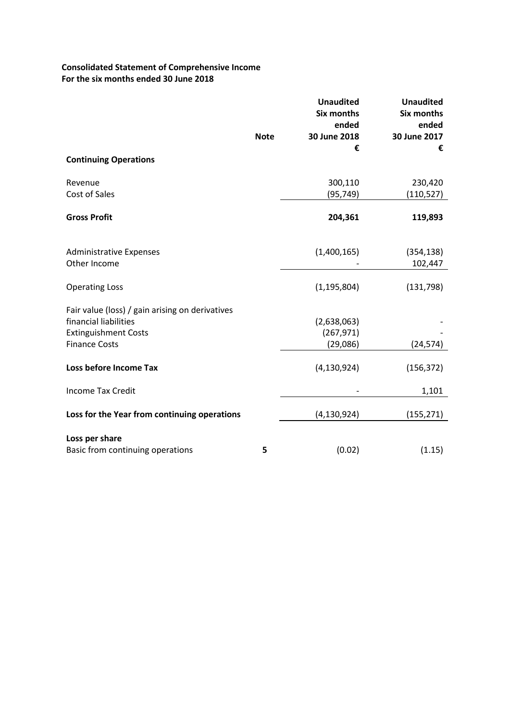# **Consolidated Statement of Comprehensive Income For the six months ended 30 June 2018**

|                                                    |             | <b>Unaudited</b><br><b>Six months</b><br>ended | <b>Unaudited</b><br><b>Six months</b><br>ended |
|----------------------------------------------------|-------------|------------------------------------------------|------------------------------------------------|
|                                                    | <b>Note</b> | 30 June 2018<br>€                              | 30 June 2017<br>€                              |
| <b>Continuing Operations</b>                       |             |                                                |                                                |
| Revenue                                            |             | 300,110                                        | 230,420                                        |
| Cost of Sales                                      |             | (95, 749)                                      | (110, 527)                                     |
| <b>Gross Profit</b>                                |             | 204,361                                        | 119,893                                        |
| <b>Administrative Expenses</b><br>Other Income     |             | (1,400,165)                                    | (354, 138)<br>102,447                          |
| <b>Operating Loss</b>                              |             | (1, 195, 804)                                  | (131, 798)                                     |
| Fair value (loss) / gain arising on derivatives    |             |                                                |                                                |
| financial liabilities                              |             | (2,638,063)                                    |                                                |
| <b>Extinguishment Costs</b>                        |             | (267, 971)                                     |                                                |
| <b>Finance Costs</b>                               |             | (29,086)                                       | (24, 574)                                      |
| Loss before Income Tax                             |             | (4, 130, 924)                                  | (156, 372)                                     |
| <b>Income Tax Credit</b>                           |             |                                                | 1,101                                          |
| Loss for the Year from continuing operations       |             | (4, 130, 924)                                  | (155, 271)                                     |
| Loss per share<br>Basic from continuing operations | 5           | (0.02)                                         | (1.15)                                         |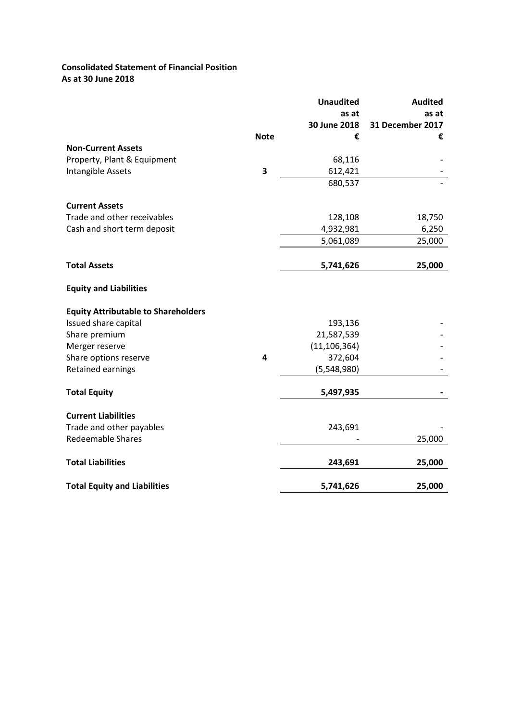## **Consolidated Statement of Financial Position As at 30 June 2018**

|                                            |             | <b>Unaudited</b> | <b>Audited</b>   |
|--------------------------------------------|-------------|------------------|------------------|
|                                            |             | as at            | as at            |
|                                            |             | 30 June 2018     | 31 December 2017 |
|                                            | <b>Note</b> | €                | €                |
| <b>Non-Current Assets</b>                  |             |                  |                  |
| Property, Plant & Equipment                |             | 68,116           |                  |
| Intangible Assets                          | 3           | 612,421          |                  |
|                                            |             | 680,537          |                  |
| <b>Current Assets</b>                      |             |                  |                  |
| Trade and other receivables                |             | 128,108          | 18,750           |
| Cash and short term deposit                |             | 4,932,981        | 6,250            |
|                                            |             | 5,061,089        | 25,000           |
|                                            |             |                  |                  |
| <b>Total Assets</b>                        |             | 5,741,626        | 25,000           |
| <b>Equity and Liabilities</b>              |             |                  |                  |
| <b>Equity Attributable to Shareholders</b> |             |                  |                  |
| Issued share capital                       |             | 193,136          |                  |
| Share premium                              |             | 21,587,539       |                  |
| Merger reserve                             |             | (11, 106, 364)   |                  |
| Share options reserve                      | 4           | 372,604          |                  |
| Retained earnings                          |             | (5,548,980)      |                  |
| <b>Total Equity</b>                        |             | 5,497,935        |                  |
| <b>Current Liabilities</b>                 |             |                  |                  |
| Trade and other payables                   |             | 243,691          |                  |
| <b>Redeemable Shares</b>                   |             |                  | 25,000           |
|                                            |             |                  |                  |
| <b>Total Liabilities</b>                   |             | 243,691          | 25,000           |
| <b>Total Equity and Liabilities</b>        |             | 5,741,626        | 25,000           |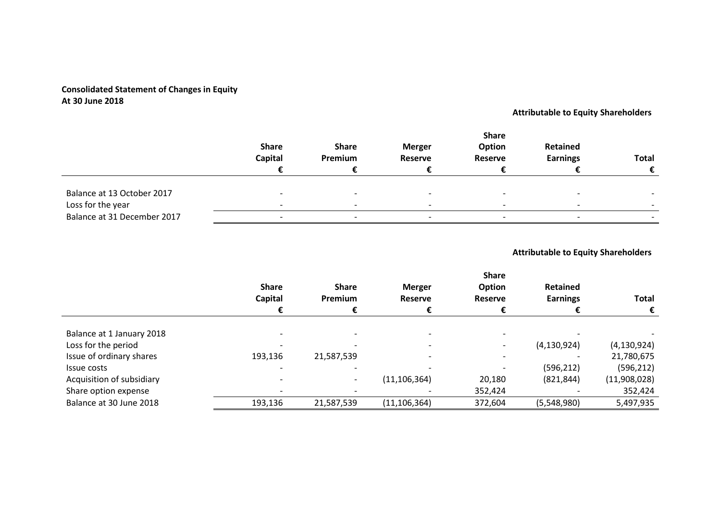# **Consolidated Statement of Changes in Equity At 30 June 2018**

# **Attributable to Equity Shareholders**

|                             | <b>Share</b><br><b>Capital</b> | <b>Share</b><br>Premium  | <b>Merger</b><br><b>Reserve</b> | <b>Share</b><br>Option<br><b>Reserve</b> | Retained<br><b>Earnings</b> | <b>Total</b> |
|-----------------------------|--------------------------------|--------------------------|---------------------------------|------------------------------------------|-----------------------------|--------------|
|                             |                                |                          |                                 |                                          |                             |              |
| Balance at 13 October 2017  | $\overline{\phantom{0}}$       | $\overline{\phantom{0}}$ |                                 |                                          |                             |              |
| Loss for the year           | $\overline{\phantom{0}}$       | $\overline{\phantom{0}}$ |                                 |                                          |                             |              |
| Balance at 31 December 2017 | $\overline{\phantom{0}}$       | $\overline{\phantom{a}}$ |                                 |                                          |                             |              |

## **Attributable to Equity Shareholders**

|                           | <b>Share</b><br>Capital | <b>Share</b><br>Premium  | <b>Merger</b><br><b>Reserve</b> | <b>Share</b><br><b>Option</b><br><b>Reserve</b> | Retained<br><b>Earnings</b> | <b>Total</b>  |
|---------------------------|-------------------------|--------------------------|---------------------------------|-------------------------------------------------|-----------------------------|---------------|
|                           |                         |                          |                                 |                                                 |                             | €             |
| Balance at 1 January 2018 |                         |                          |                                 |                                                 |                             |               |
| Loss for the period       |                         |                          |                                 |                                                 | (4, 130, 924)               | (4, 130, 924) |
| Issue of ordinary shares  | 193,136                 | 21,587,539               |                                 |                                                 |                             | 21,780,675    |
| Issue costs               |                         |                          |                                 |                                                 | (596, 212)                  | (596, 212)    |
| Acquisition of subsidiary |                         | $\overline{\phantom{a}}$ | (11, 106, 364)                  | 20,180                                          | (821, 844)                  | (11,908,028)  |
| Share option expense      |                         |                          |                                 | 352,424                                         |                             | 352,424       |
| Balance at 30 June 2018   | 193,136                 | 21,587,539               | (11, 106, 364)                  | 372,604                                         | (5,548,980)                 | 5,497,935     |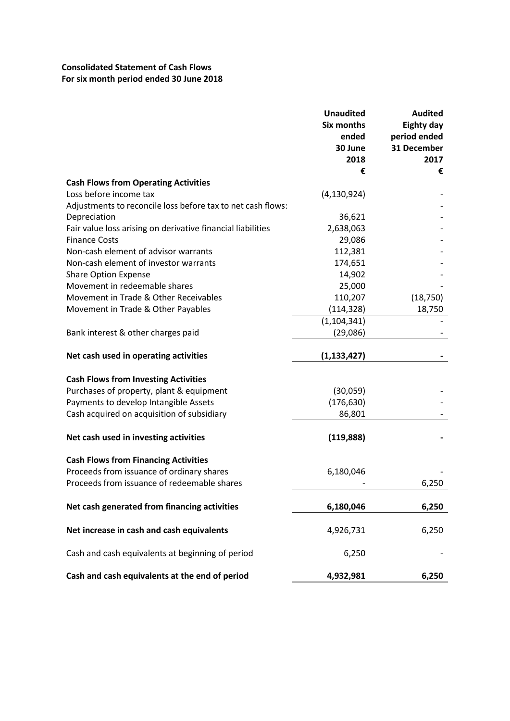# **Consolidated Statement of Cash Flows For six month period ended 30 June 2018**

|                                                             | <b>Unaudited</b><br><b>Six months</b><br>ended<br>30 June<br>2018 | <b>Audited</b><br><b>Eighty day</b><br>period ended<br>31 December<br>2017 |
|-------------------------------------------------------------|-------------------------------------------------------------------|----------------------------------------------------------------------------|
|                                                             | €                                                                 | €                                                                          |
| <b>Cash Flows from Operating Activities</b>                 |                                                                   |                                                                            |
| Loss before income tax                                      | (4, 130, 924)                                                     |                                                                            |
| Adjustments to reconcile loss before tax to net cash flows: |                                                                   |                                                                            |
| Depreciation                                                | 36,621                                                            |                                                                            |
| Fair value loss arising on derivative financial liabilities | 2,638,063                                                         |                                                                            |
| <b>Finance Costs</b>                                        | 29,086                                                            |                                                                            |
| Non-cash element of advisor warrants                        | 112,381                                                           |                                                                            |
| Non-cash element of investor warrants                       | 174,651                                                           |                                                                            |
| <b>Share Option Expense</b>                                 | 14,902                                                            |                                                                            |
| Movement in redeemable shares                               | 25,000                                                            |                                                                            |
| Movement in Trade & Other Receivables                       | 110,207                                                           | (18, 750)                                                                  |
| Movement in Trade & Other Payables                          | (114, 328)                                                        | 18,750                                                                     |
|                                                             | (1, 104, 341)                                                     |                                                                            |
| Bank interest & other charges paid                          | (29,086)                                                          |                                                                            |
| Net cash used in operating activities                       | (1, 133, 427)                                                     |                                                                            |
| <b>Cash Flows from Investing Activities</b>                 |                                                                   |                                                                            |
| Purchases of property, plant & equipment                    | (30,059)                                                          |                                                                            |
| Payments to develop Intangible Assets                       | (176, 630)                                                        |                                                                            |
| Cash acquired on acquisition of subsidiary                  | 86,801                                                            |                                                                            |
|                                                             |                                                                   |                                                                            |
| Net cash used in investing activities                       | (119, 888)                                                        |                                                                            |
| <b>Cash Flows from Financing Activities</b>                 |                                                                   |                                                                            |
| Proceeds from issuance of ordinary shares                   | 6,180,046                                                         |                                                                            |
| Proceeds from issuance of redeemable shares                 |                                                                   | 6,250                                                                      |
| Net cash generated from financing activities                | 6,180,046                                                         | 6,250                                                                      |
| Net increase in cash and cash equivalents                   | 4,926,731                                                         | 6,250                                                                      |
| Cash and cash equivalents at beginning of period            | 6,250                                                             |                                                                            |
| Cash and cash equivalents at the end of period              | 4,932,981                                                         | 6,250                                                                      |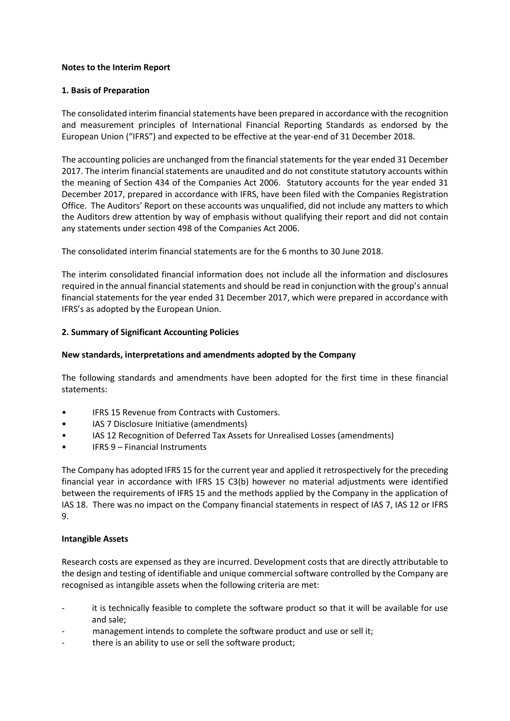## **Notes to the Interim Report**

## **1. Basis of Preparation**

The consolidated interim financial statements have been prepared in accordance with the recognition and measurement principles of International Financial Reporting Standards as endorsed by the European Union ("IFRS") and expected to be effective at the year-end of 31 December 2018.

The accounting policies are unchanged from the financial statements for the year ended 31 December 2017. The interim financial statements are unaudited and do not constitute statutory accounts within the meaning of Section 434 of the Companies Act 2006. Statutory accounts for the year ended 31 December 2017, prepared in accordance with IFRS, have been filed with the Companies Registration Office. The Auditors' Report on these accounts was unqualified, did not include any matters to which the Auditors drew attention by way of emphasis without qualifying their report and did not contain any statements under section 498 of the Companies Act 2006.

The consolidated interim financial statements are for the 6 months to 30 June 2018.

The interim consolidated financial information does not include all the information and disclosures required in the annual financial statements and should be read in conjunction with the group's annual financial statements for the year ended 31 December 2017, which were prepared in accordance with IFRS's as adopted by the European Union.

## **2. Summary of Significant Accounting Policies**

## **New standards, interpretations and amendments adopted by the Company**

The following standards and amendments have been adopted for the first time in these financial statements:

- IFRS 15 Revenue from Contracts with Customers.
- IAS 7 Disclosure Initiative (amendments)
- IAS 12 Recognition of Deferred Tax Assets for Unrealised Losses (amendments)
- IFRS 9 Financial Instruments

The Company has adopted IFRS 15 for the current year and applied it retrospectively for the preceding financial year in accordance with IFRS 15 C3(b) however no material adjustments were identified between the requirements of IFRS 15 and the methods applied by the Company in the application of IAS 18. There was no impact on the Company financial statements in respect of IAS 7, IAS 12 or IFRS 9.

## **Intangible Assets**

Research costs are expensed as they are incurred. Development costs that are directly attributable to the design and testing of identifiable and unique commercial software controlled by the Company are recognised as intangible assets when the following criteria are met:

- it is technically feasible to complete the software product so that it will be available for use and sale;
- management intends to complete the software product and use or sell it;
- there is an ability to use or sell the software product;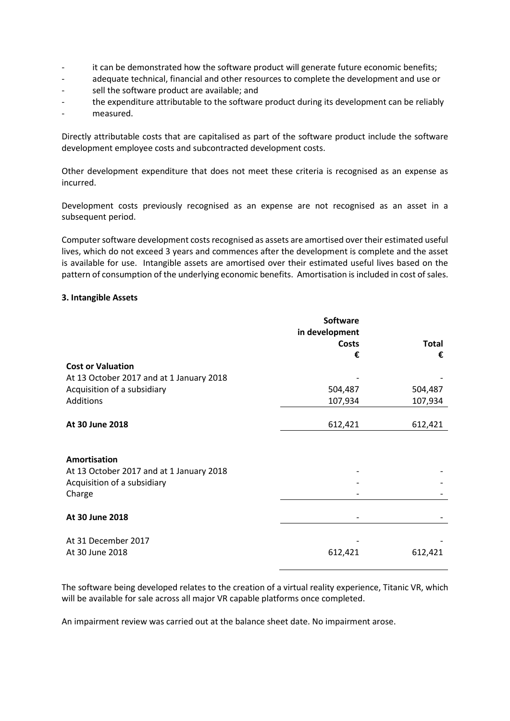- it can be demonstrated how the software product will generate future economic benefits;
- adequate technical, financial and other resources to complete the development and use or
- sell the software product are available; and
- the expenditure attributable to the software product during its development can be reliably
- measured.

Directly attributable costs that are capitalised as part of the software product include the software development employee costs and subcontracted development costs.

Other development expenditure that does not meet these criteria is recognised as an expense as incurred.

Development costs previously recognised as an expense are not recognised as an asset in a subsequent period.

Computer software development costs recognised as assets are amortised over their estimated useful lives, which do not exceed 3 years and commences after the development is complete and the asset is available for use. Intangible assets are amortised over their estimated useful lives based on the pattern of consumption of the underlying economic benefits. Amortisation is included in cost of sales.

## **3. Intangible Assets**

|                                          | Software       |              |
|------------------------------------------|----------------|--------------|
|                                          | in development |              |
|                                          | <b>Costs</b>   | <b>Total</b> |
|                                          | €              | €            |
| <b>Cost or Valuation</b>                 |                |              |
| At 13 October 2017 and at 1 January 2018 |                |              |
| Acquisition of a subsidiary              | 504,487        | 504,487      |
| Additions                                | 107,934        | 107,934      |
|                                          |                |              |
| At 30 June 2018                          | 612,421        | 612,421      |
|                                          |                |              |
| Amortisation                             |                |              |
| At 13 October 2017 and at 1 January 2018 |                |              |
| Acquisition of a subsidiary              |                |              |
| Charge                                   |                |              |
|                                          |                |              |
| At 30 June 2018                          |                |              |
|                                          |                |              |
| At 31 December 2017                      |                |              |
| At 30 June 2018                          | 612,421        | 612,421      |
|                                          |                |              |

The software being developed relates to the creation of a virtual reality experience, Titanic VR, which will be available for sale across all major VR capable platforms once completed.

An impairment review was carried out at the balance sheet date. No impairment arose.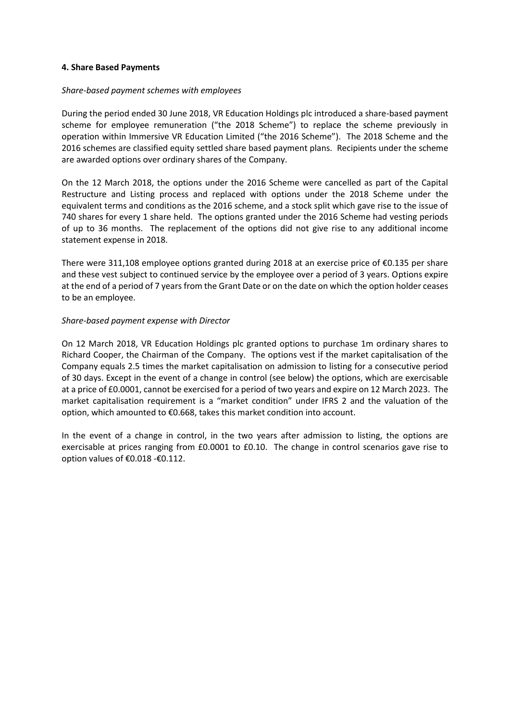## **4. Share Based Payments**

## *Share-based payment schemes with employees*

During the period ended 30 June 2018, VR Education Holdings plc introduced a share-based payment scheme for employee remuneration ("the 2018 Scheme") to replace the scheme previously in operation within Immersive VR Education Limited ("the 2016 Scheme"). The 2018 Scheme and the 2016 schemes are classified equity settled share based payment plans. Recipients under the scheme are awarded options over ordinary shares of the Company.

On the 12 March 2018, the options under the 2016 Scheme were cancelled as part of the Capital Restructure and Listing process and replaced with options under the 2018 Scheme under the equivalent terms and conditions as the 2016 scheme, and a stock split which gave rise to the issue of 740 shares for every 1 share held. The options granted under the 2016 Scheme had vesting periods of up to 36 months. The replacement of the options did not give rise to any additional income statement expense in 2018.

There were 311,108 employee options granted during 2018 at an exercise price of €0.135 per share and these vest subject to continued service by the employee over a period of 3 years. Options expire at the end of a period of 7 years from the Grant Date or on the date on which the option holder ceases to be an employee.

## *Share-based payment expense with Director*

On 12 March 2018, VR Education Holdings plc granted options to purchase 1m ordinary shares to Richard Cooper, the Chairman of the Company. The options vest if the market capitalisation of the Company equals 2.5 times the market capitalisation on admission to listing for a consecutive period of 30 days. Except in the event of a change in control (see below) the options, which are exercisable at a price of £0.0001, cannot be exercised for a period of two years and expire on 12 March 2023. The market capitalisation requirement is a "market condition" under IFRS 2 and the valuation of the option, which amounted to €0.668, takes this market condition into account.

In the event of a change in control, in the two years after admission to listing, the options are exercisable at prices ranging from £0.0001 to £0.10. The change in control scenarios gave rise to option values of €0.018 -€0.112.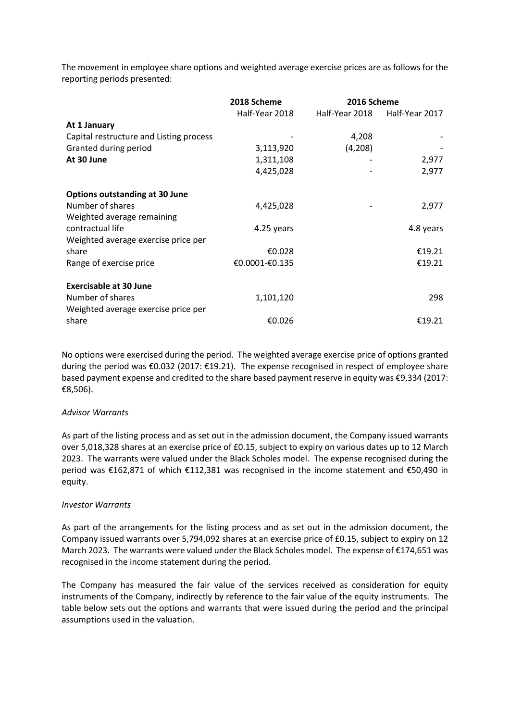The movement in employee share options and weighted average exercise prices are as follows for the reporting periods presented:

|                                         | 2018 Scheme    | 2016 Scheme    |                |
|-----------------------------------------|----------------|----------------|----------------|
|                                         | Half-Year 2018 | Half-Year 2018 | Half-Year 2017 |
| At 1 January                            |                |                |                |
| Capital restructure and Listing process |                | 4,208          |                |
| Granted during period                   | 3,113,920      | (4,208)        |                |
| At 30 June                              | 1,311,108      |                | 2,977          |
|                                         | 4,425,028      |                | 2,977          |
| <b>Options outstanding at 30 June</b>   |                |                |                |
| Number of shares                        | 4,425,028      |                | 2,977          |
| Weighted average remaining              |                |                |                |
| contractual life                        | 4.25 years     |                | 4.8 years      |
| Weighted average exercise price per     |                |                |                |
| share                                   | €0.028         |                | €19.21         |
| Range of exercise price                 | €0.0001-€0.135 |                | €19.21         |
| <b>Exercisable at 30 June</b>           |                |                |                |
| Number of shares                        | 1,101,120      |                | 298            |
| Weighted average exercise price per     |                |                |                |
| share                                   | €0.026         |                | €19.21         |

No options were exercised during the period. The weighted average exercise price of options granted during the period was €0.032 (2017: €19.21). The expense recognised in respect of employee share based payment expense and credited to the share based payment reserve in equity was €9,334 (2017: €8,506).

#### *Advisor Warrants*

As part of the listing process and as set out in the admission document, the Company issued warrants over 5,018,328 shares at an exercise price of £0.15, subject to expiry on various dates up to 12 March 2023. The warrants were valued under the Black Scholes model. The expense recognised during the period was €162,871 of which €112,381 was recognised in the income statement and €50,490 in equity.

#### *Investor Warrants*

As part of the arrangements for the listing process and as set out in the admission document, the Company issued warrants over 5,794,092 shares at an exercise price of £0.15, subject to expiry on 12 March 2023. The warrants were valued under the Black Scholes model. The expense of €174,651 was recognised in the income statement during the period.

The Company has measured the fair value of the services received as consideration for equity instruments of the Company, indirectly by reference to the fair value of the equity instruments. The table below sets out the options and warrants that were issued during the period and the principal assumptions used in the valuation.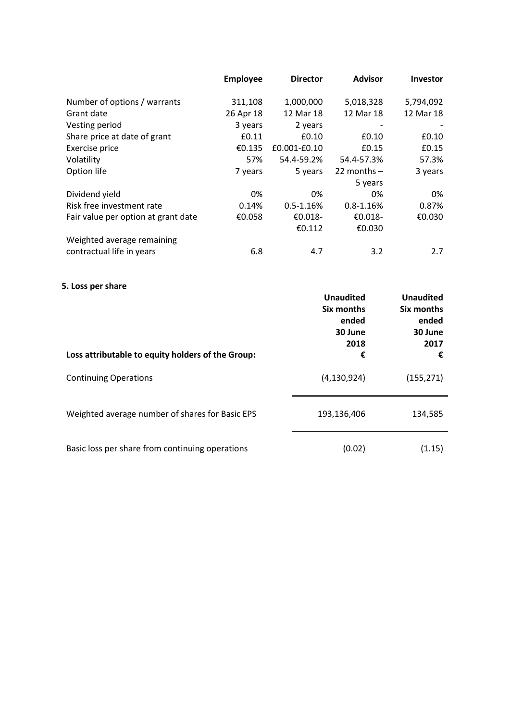|                                     | <b>Employee</b> | <b>Director</b> | <b>Advisor</b> | <b>Investor</b> |
|-------------------------------------|-----------------|-----------------|----------------|-----------------|
| Number of options / warrants        | 311,108         | 1,000,000       | 5,018,328      | 5,794,092       |
| Grant date                          | 26 Apr 18       | 12 Mar 18       | 12 Mar 18      | 12 Mar 18       |
| Vesting period                      | 3 years         | 2 years         |                |                 |
| Share price at date of grant        | £0.11           | £0.10           | £0.10          | £0.10           |
| Exercise price                      | €0.135          | £0.001-£0.10    | £0.15          | £0.15           |
| Volatility                          | 57%             | 54.4-59.2%      | 54.4-57.3%     | 57.3%           |
| Option life                         | 7 years         | 5 years         | 22 months $-$  | 3 years         |
|                                     |                 |                 | 5 years        |                 |
| Dividend yield                      | 0%              | 0%              | 0%             | 0%              |
| Risk free investment rate           | 0.14%           | $0.5 - 1.16%$   | $0.8 - 1.16%$  | 0.87%           |
| Fair value per option at grant date | €0.058          | €0.018-         | €0.018-        | €0.030          |
|                                     |                 | €0.112          | €0.030         |                 |
| Weighted average remaining          |                 |                 |                |                 |
| contractual life in years           | 6.8             | 4.7             | 3.2            | 2.7             |

# **5. Loss per share**

| Loss attributable to equity holders of the Group: | <b>Unaudited</b><br>Six months<br>ended<br>30 June<br>2018<br>€ | <b>Unaudited</b><br>Six months<br>ended<br>30 June<br>2017<br>€ |
|---------------------------------------------------|-----------------------------------------------------------------|-----------------------------------------------------------------|
| <b>Continuing Operations</b>                      | (4, 130, 924)                                                   | (155, 271)                                                      |
| Weighted average number of shares for Basic EPS   | 193,136,406                                                     | 134,585                                                         |
| Basic loss per share from continuing operations   | (0.02)                                                          | (1.15)                                                          |